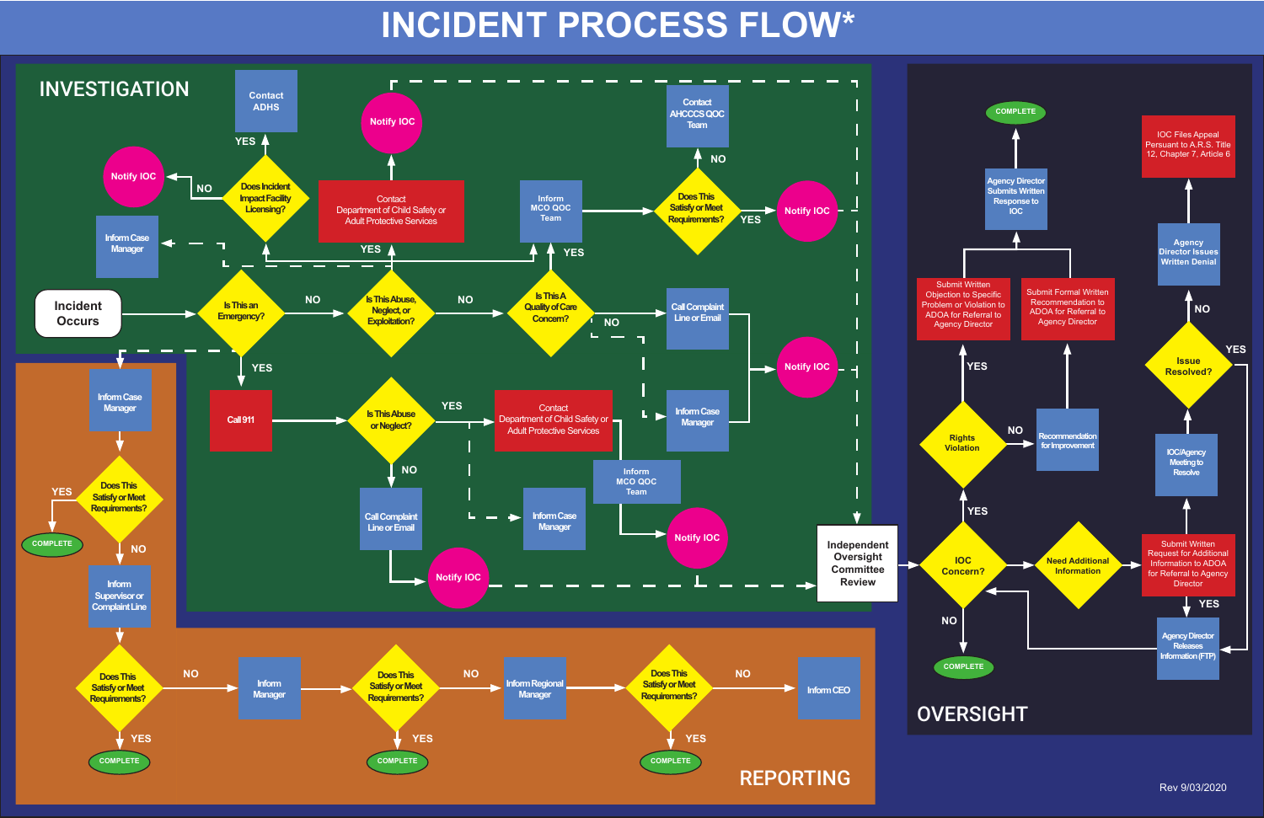

# OVERSIGHT

# **INCIDENT PROCESS FLOW\***



Rev 9/03/2020